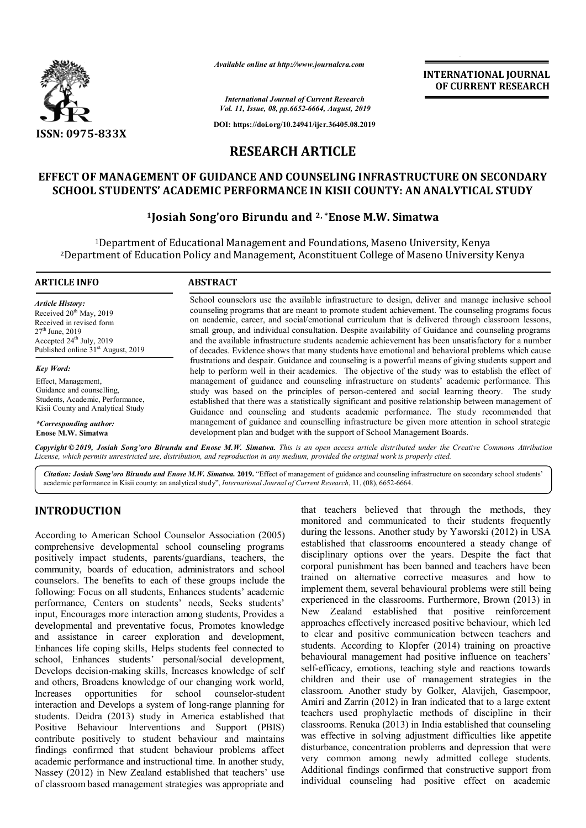

*Available online at http://www.journalcra.com*

**INTERNATIONAL JOURNAL OF CURRENT RESEARCH**

*International Journal of Current Research Vol. 11, Issue, 08, pp.6652-6664, August, 2019*

**DOI: https://doi.org/10.24941/ijcr.36405.08.2019**

# **RESEARCH ARTICLE**

# **EFFECT OF MANAGEMENT OF GUIDANCE AND COUNSELING INFRASTRUCTURE ON SECONDARY SCHOOL STUDENTS' ACADEMIC PERFORMANCE IN KISII COUNTY: AN ANALYTICAL STUDY**

## **1Josiah Song'oro Birundu and 2, \*Enose M.W. Simatwa**

1Department of Educational Management and Foundations, Maseno University, Kenya 2Department of Education Policy and Management, Aconstituent College of Maseno University Kenya

#### **ARTICLE INFO ABSTRACT** School counselors use the available infrastructure to design, deliver and manage inclusive school counseling programs that are meant to promote student achievement. The counseling programs focus on academic, career, and social/emotional curriculum that is delivered through classroom lessons, small group, and individual consultation. Despite availability of Guidance and counseling programs and the available infrastructure students academic achievement has been unsatisfactory for a number *Article History:* Received 20<sup>th</sup> May, 2019 Received in revised form  $27^{th}$  June, 2019 Accepted 24<sup>th</sup> July, 2019

Published online  $31<sup>st</sup>$  August, 2019 *Key Word:*

Effect, Management, Guidance and counselling, Students, Academic, Performance, Kisii County and Analytical Study

*\*Corresponding author:*  **Enose M.W. Simatwa**

of decades. Evidence shows that many students have emotional and behavioral problems which cause frustrations and despair. Guidance and counseling is a powerful means of giving students support and help to perform well in their academics. The objective of the study was to establish the effect of management of guidance and counseling infrastructure on students' academic performance. This study was based on the principles of person-centered and social learning theory. The study established that there was a statistically significant and positive relationship between management of Guidance and counseling and students academic performance. The study recommended that management of guidance and counselling infrastructure be given more attention in school strategic development plan and budget with the support of School Management Boards.

Copyright © 2019, Josiah Song'oro Birundu and Enose M.W. Simatwa. This is an open access article distributed under the Creative Commons Attribution License, which permits unrestricted use, distribution, and reproduction in any medium, provided the original work is properly cited.

*Citation: Josiah Song'oro Birundu and Enose M.W. Simatwa.* **2019.** "Effect of management of guidance and counseling infrastructure on secondary school students' academic performance in Kisii county: an analytical study", *International Journal of Current Research*, 11, (08), 6652-6664.

# **INTRODUCTION**

According to American School Counselor Association (2005) comprehensive developmental school counseling programs positively impact students, parents/guardians, teachers, the community, boards of education, administrators and school counselors. The benefits to each of these groups include the following: Focus on all students, Enhances students' academic performance, Centers on students' needs, Seeks students' input, Encourages more interaction among students, Provides a developmental and preventative focus, Promotes knowledge and assistance in career exploration and development, Enhances life coping skills, Helps students feel connected to school, Enhances students' personal/social development, Develops decision-making skills, Increases knowledge of self and others, Broadens knowledge of our changing work world, Increases opportunities for school counselor-student interaction and Develops a system of long-range planning for students. Deidra (2013) study in America established that Positive Behaviour Interventions and Support (PBIS) contribute positively to student behaviour and maintains findings confirmed that student behaviour problems affect academic performance and instructional time. In another study, Nassey (2012) in New Zealand established that teachers' use of classroom based management strategies was appropriate and

that teachers believed that through the methods, they monitored and communicated to their students frequently during the lessons. Another study by Yaworski (2012) in USA established that classrooms encountered a steady change of disciplinary options over the years. Despite the fact that corporal punishment has been banned and teachers have been trained on alternative corrective measures and how to implement them, several behavioural problems were still being experienced in the classrooms. Furthermore, Brown (2013) in New Zealand established that positive reinforcement approaches effectively increased positive behaviour, which led to clear and positive communication between teachers and students. According to Klopfer (2014) training on proactive behavioural management had positive influence on teachers' self-efficacy, emotions, teaching style and reactions towards children and their use of management strategies in the classroom. Another study by Golker, Alavijeh, Gasempoor, Amiri and Zarrin (2012) in Iran indicated that to a large extent teachers used prophylactic methods of discipline in their classrooms. Renuka (2013) in India established that counseling was effective in solving adjustment difficulties like appetite disturbance, concentration problems and depression that were very common among newly admitted college students. Additional findings confirmed that constructive support from individual counseling had positive effect on academic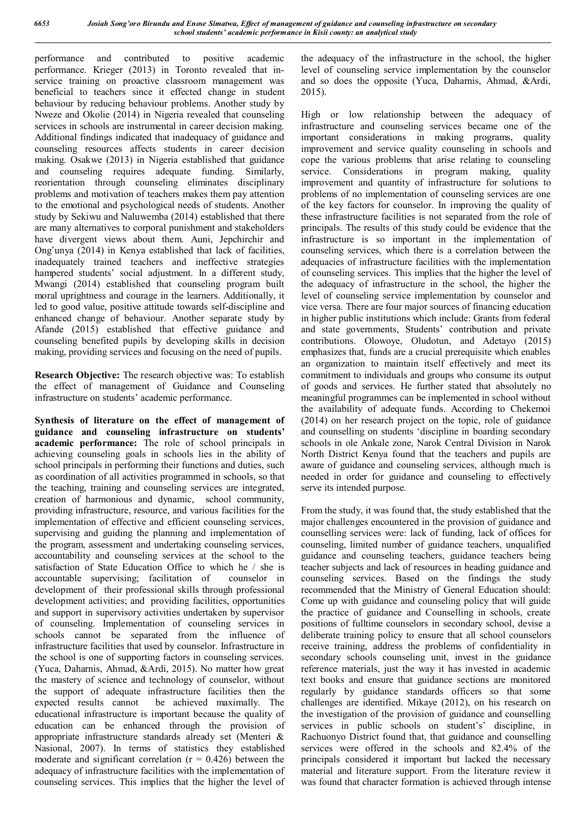performance and contributed to positive academic performance. Krieger (2013) in Toronto revealed that inservice training on proactive classroom management was beneficial to teachers since it effected change in student behaviour by reducing behaviour problems. Another study by Nweze and Okolie (2014) in Nigeria revealed that counseling services in schools are instrumental in career decision making. Additional findings indicated that inadequacy of guidance and counseling resources affects students in career decision making. Osakwe (2013) in Nigeria established that guidance and counseling requires adequate funding. Similarly, reorientation through counseling eliminates disciplinary problems and motivation of teachers makes them pay attention to the emotional and psychological needs of students. Another study by Sekiwu and Naluwemba (2014) established that there are many alternatives to corporal punishment and stakeholders have divergent views about them. Auni, Jepchirchir and Ong'unya (2014) in Kenya established that lack of facilities, inadequately trained teachers and ineffective strategies hampered students' social adjustment. In a different study, Mwangi (2014) established that counseling program built moral uprightness and courage in the learners. Additionally, it led to good value, positive attitude towards self-discipline and enhanced change of behaviour. Another separate study by Afande (2015) established that effective guidance and counseling benefited pupils by developing skills in decision making, providing services and focusing on the need of pupils.

**Research Objective:** The research objective was: To establish the effect of management of Guidance and Counseling infrastructure on students' academic performance.

**Synthesis of literature on the effect of management of guidance and counseling infrastructure on students' academic performance:** The role of school principals in achieving counseling goals in schools lies in the ability of school principals in performing their functions and duties, such as coordination of all activities programmed in schools, so that the teaching, training and counseling services are integrated, creation of harmonious and dynamic, school community, providing infrastructure, resource, and various facilities for the implementation of effective and efficient counseling services, supervising and guiding the planning and implementation of the program, assessment and undertaking counseling services, accountability and counseling services at the school to the satisfaction of State Education Office to which he / she is accountable supervising; facilitation of counselor in development of their professional skills through professional development activities; and providing facilities, opportunities and support in supervisory activities undertaken by supervisor of counseling. Implementation of counseling services in schools cannot be separated from the influence of infrastructure facilities that used by counselor. Infrastructure in the school is one of supporting factors in counseling services. (Yuca, Daharnis, Ahmad, &Ardi, 2015). No matter how great the mastery of science and technology of counselor, without the support of adequate infrastructure facilities then the expected results cannot be achieved maximally. The educational infrastructure is important because the quality of education can be enhanced through the provision of appropriate infrastructure standards already set (Menteri & Nasional, 2007). In terms of statistics they established moderate and significant correlation  $(r = 0.426)$  between the adequacy of infrastructure facilities with the implementation of counseling services. This implies that the higher the level of the adequacy of the infrastructure in the school, the higher level of counseling service implementation by the counselor and so does the opposite (Yuca, Daharnis, Ahmad, &Ardi, 2015).

High or low relationship between the adequacy of infrastructure and counseling services became one of the important considerations in making programs, quality improvement and service quality counseling in schools and cope the various problems that arise relating to counseling service. Considerations in program making, quality improvement and quantity of infrastructure for solutions to problems of no implementation of counseling services are one of the key factors for counselor. In improving the quality of these infrastructure facilities is not separated from the role of principals. The results of this study could be evidence that the infrastructure is so important in the implementation of counseling services, which there is a correlation between the adequacies of infrastructure facilities with the implementation of counseling services. This implies that the higher the level of the adequacy of infrastructure in the school, the higher the level of counseling service implementation by counselor and vice versa. There are four major sources of financing education in higher public institutions which include: Grants from federal and state governments, Students' contribution and private contributions. Olowoye, Oludotun, and Adetayo (2015) emphasizes that, funds are a crucial prerequisite which enables an organization to maintain itself effectively and meet its commitment to individuals and groups who consume its output of goods and services. He further stated that absolutely no meaningful programmes can be implemented in school without the availability of adequate funds. According to Chekemoi (2014) on her research project on the topic, role of guidance and counselling on students 'discipline in boarding secondary schools in ole Ankale zone, Narok Central Division in Narok North District Kenya found that the teachers and pupils are aware of guidance and counseling services, although much is needed in order for guidance and counseling to effectively serve its intended purpose.

From the study, it was found that, the study established that the major challenges encountered in the provision of guidance and counselling services were: lack of funding, lack of offices for counseling, limited number of guidance teachers, unqualified guidance and counseling teachers, guidance teachers being teacher subjects and lack of resources in heading guidance and counseling services. Based on the findings the study recommended that the Ministry of General Education should: Come up with guidance and counseling policy that will guide the practice of guidance and Counselling in schools, create positions of fulltime counselors in secondary school, devise a deliberate training policy to ensure that all school counselors receive training, address the problems of confidentiality in secondary schools counseling unit, invest in the guidance reference materials, just the way it has invested in academic text books and ensure that guidance sections are monitored regularly by guidance standards officers so that some challenges are identified. Mikaye (2012), on his research on the investigation of the provision of guidance and counselling services in public schools on student's' discipline, in Rachuonyo District found that, that guidance and counselling services were offered in the schools and 82.4% of the principals considered it important but lacked the necessary material and literature support. From the literature review it was found that character formation is achieved through intense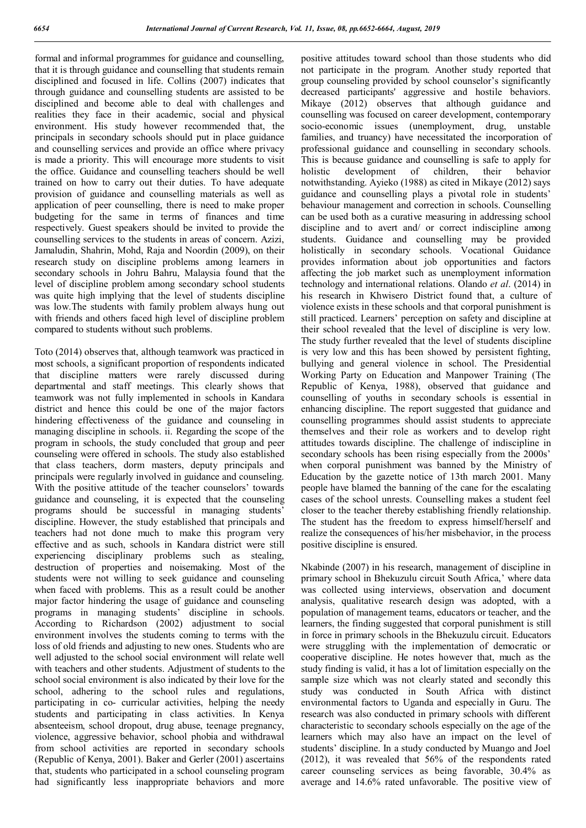formal and informal programmes for guidance and counselling, that it is through guidance and counselling that students remain disciplined and focused in life. Collins (2007) indicates that through guidance and counselling students are assisted to be disciplined and become able to deal with challenges and realities they face in their academic, social and physical environment. His study however recommended that, the principals in secondary schools should put in place guidance and counselling services and provide an office where privacy is made a priority. This will encourage more students to visit the office. Guidance and counselling teachers should be well trained on how to carry out their duties. To have adequate provision of guidance and counselling materials as well as application of peer counselling, there is need to make proper budgeting for the same in terms of finances and time respectively. Guest speakers should be invited to provide the counselling services to the students in areas of concern. Azizi, Jamaludin, Shahrin, Mohd, Raja and Noordin (2009), on their research study on discipline problems among learners in secondary schools in Johru Bahru, Malaysia found that the level of discipline problem among secondary school students was quite high implying that the level of students discipline was low.The students with family problem always hung out with friends and others faced high level of discipline problem compared to students without such problems.

Toto (2014) observes that, although teamwork was practiced in most schools, a significant proportion of respondents indicated that discipline matters were rarely discussed during departmental and staff meetings. This clearly shows that teamwork was not fully implemented in schools in Kandara district and hence this could be one of the major factors hindering effectiveness of the guidance and counseling in managing discipline in schools. ii. Regarding the scope of the program in schools, the study concluded that group and peer counseling were offered in schools. The study also established that class teachers, dorm masters, deputy principals and principals were regularly involved in guidance and counseling. With the positive attitude of the teacher counselors' towards guidance and counseling, it is expected that the counseling programs should be successful in managing students' discipline. However, the study established that principals and teachers had not done much to make this program very effective and as such, schools in Kandara district were still experiencing disciplinary problems such as stealing, destruction of properties and noisemaking. Most of the students were not willing to seek guidance and counseling when faced with problems. This as a result could be another major factor hindering the usage of guidance and counseling programs in managing students' discipline in schools. According to Richardson (2002) adjustment to social environment involves the students coming to terms with the loss of old friends and adjusting to new ones. Students who are well adjusted to the school social environment will relate well with teachers and other students. Adjustment of students to the school social environment is also indicated by their love for the school, adhering to the school rules and regulations, participating in co- curricular activities, helping the needy students and participating in class activities. In Kenya absenteeism, school dropout, drug abuse, teenage pregnancy, violence, aggressive behavior, school phobia and withdrawal from school activities are reported in secondary schools (Republic of Kenya, 2001). Baker and Gerler (2001) ascertains that, students who participated in a school counseling program had significantly less inappropriate behaviors and more

positive attitudes toward school than those students who did not participate in the program. Another study reported that group counseling provided by school counselor's significantly decreased participants' aggressive and hostile behaviors. Mikaye (2012) observes that although guidance and counselling was focused on career development, contemporary socio-economic issues (unemployment, drug, unstable families, and truancy) have necessitated the incorporation of professional guidance and counselling in secondary schools. This is because guidance and counselling is safe to apply for holistic development of children, their behavior notwithstanding. Ayieko (1988) as cited in Mikaye (2012) says guidance and counselling plays a pivotal role in students' behaviour management and correction in schools. Counselling can be used both as a curative measuring in addressing school discipline and to avert and/ or correct indiscipline among students. Guidance and counselling may be provided holistically in secondary schools. Vocational Guidance provides information about job opportunities and factors affecting the job market such as unemployment information technology and international relations. Olando *et al*. (2014) in his research in Khwisero District found that, a culture of violence exists in these schools and that corporal punishment is still practiced. Learners' perception on safety and discipline at their school revealed that the level of discipline is very low. The study further revealed that the level of students discipline is very low and this has been showed by persistent fighting, bullying and general violence in school. The Presidential Working Party on Education and Manpower Training (The Republic of Kenya, 1988), observed that guidance and counselling of youths in secondary schools is essential in enhancing discipline. The report suggested that guidance and counselling programmes should assist students to appreciate themselves and their role as workers and to develop right attitudes towards discipline. The challenge of indiscipline in secondary schools has been rising especially from the 2000s' when corporal punishment was banned by the Ministry of Education by the gazette notice of 13th march 2001. Many people have blamed the banning of the cane for the escalating cases of the school unrests. Counselling makes a student feel closer to the teacher thereby establishing friendly relationship. The student has the freedom to express himself/herself and realize the consequences of his/her misbehavior, in the process positive discipline is ensured.

Nkabinde (2007) in his research, management of discipline in primary school in Bhekuzulu circuit South Africa,' where data was collected using interviews, observation and document analysis, qualitative research design was adopted, with a population of management teams, educators or teacher, and the learners, the finding suggested that corporal punishment is still in force in primary schools in the Bhekuzulu circuit. Educators were struggling with the implementation of democratic or cooperative discipline. He notes however that, much as the study finding is valid, it has a lot of limitation especially on the sample size which was not clearly stated and secondly this study was conducted in South Africa with distinct environmental factors to Uganda and especially in Guru. The research was also conducted in primary schools with different characteristic to secondary schools especially on the age of the learners which may also have an impact on the level of students' discipline. In a study conducted by Muango and Joel (2012), it was revealed that 56% of the respondents rated career counseling services as being favorable, 30.4% as average and 14.6% rated unfavorable. The positive view of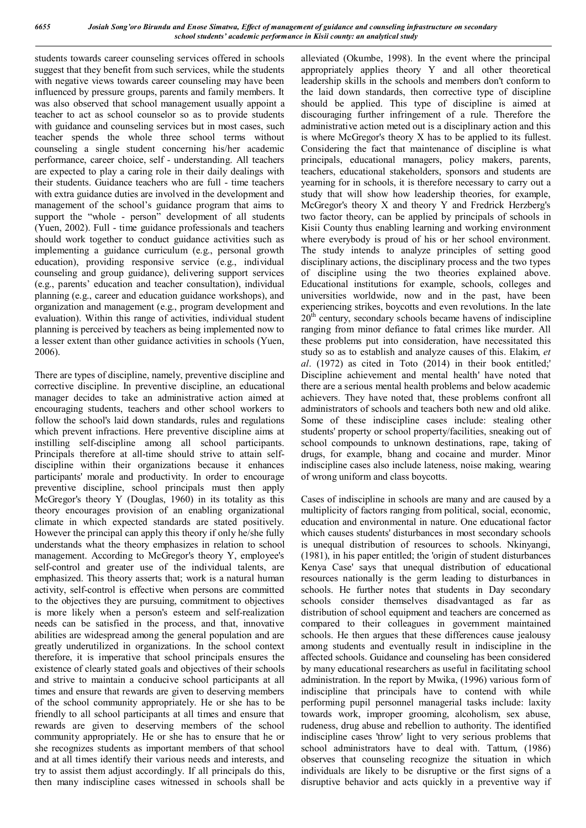students towards career counseling services offered in schools suggest that they benefit from such services, while the students with negative views towards career counseling may have been influenced by pressure groups, parents and family members. It was also observed that school management usually appoint a teacher to act as school counselor so as to provide students with guidance and counseling services but in most cases, such teacher spends the whole three school terms without counseling a single student concerning his/her academic performance, career choice, self - understanding. All teachers are expected to play a caring role in their daily dealings with their students. Guidance teachers who are full - time teachers with extra guidance duties are involved in the development and management of the school's guidance program that aims to support the "whole - person" development of all students (Yuen, 2002). Full - time guidance professionals and teachers should work together to conduct guidance activities such as implementing a guidance curriculum (e.g., personal growth education), providing responsive service (e.g., individual counseling and group guidance), delivering support services (e.g., parents' education and teacher consultation), individual planning (e.g., career and education guidance workshops), and organization and management (e.g., program development and evaluation). Within this range of activities, individual student planning is perceived by teachers as being implemented now to a lesser extent than other guidance activities in schools (Yuen, 2006).

There are types of discipline, namely, preventive discipline and corrective discipline. In preventive discipline, an educational manager decides to take an administrative action aimed at encouraging students, teachers and other school workers to follow the school's laid down standards, rules and regulations which prevent infractions. Here preventive discipline aims at instilling self-discipline among all school participants. Principals therefore at all-time should strive to attain selfdiscipline within their organizations because it enhances participants' morale and productivity. In order to encourage preventive discipline, school principals must then apply McGregor's theory Y (Douglas, 1960) in its totality as this theory encourages provision of an enabling organizational climate in which expected standards are stated positively. However the principal can apply this theory if only he/she fully understands what the theory emphasizes in relation to school management. According to McGregor's theory Y, employee's self-control and greater use of the individual talents, are emphasized. This theory asserts that; work is a natural human activity, self-control is effective when persons are committed to the objectives they are pursuing, commitment to objectives is more likely when a person's esteem and self-realization needs can be satisfied in the process, and that, innovative abilities are widespread among the general population and are greatly underutilized in organizations. In the school context therefore, it is imperative that school principals ensures the existence of clearly stated goals and objectives of their schools and strive to maintain a conducive school participants at all times and ensure that rewards are given to deserving members of the school community appropriately. He or she has to be friendly to all school participants at all times and ensure that rewards are given to deserving members of the school community appropriately. He or she has to ensure that he or she recognizes students as important members of that school and at all times identify their various needs and interests, and try to assist them adjust accordingly. If all principals do this, then many indiscipline cases witnessed in schools shall be

alleviated (Okumbe, 1998). In the event where the principal appropriately applies theory Y and all other theoretical leadership skills in the schools and members don't conform to the laid down standards, then corrective type of discipline should be applied. This type of discipline is aimed at discouraging further infringement of a rule. Therefore the administrative action meted out is a disciplinary action and this is where McGregor's theory X has to be applied to its fullest. Considering the fact that maintenance of discipline is what principals, educational managers, policy makers, parents, teachers, educational stakeholders, sponsors and students are yearning for in schools, it is therefore necessary to carry out a study that will show how leadership theories, for example, McGregor's theory X and theory Y and Fredrick Herzberg's two factor theory, can be applied by principals of schools in Kisii County thus enabling learning and working environment where everybody is proud of his or her school environment. The study intends to analyze principles of setting good disciplinary actions, the disciplinary process and the two types of discipline using the two theories explained above. Educational institutions for example, schools, colleges and universities worldwide, now and in the past, have been experiencing strikes, boycotts and even revolutions. In the late  $20<sup>th</sup>$  century, secondary schools became havens of indiscipline ranging from minor defiance to fatal crimes like murder. All these problems put into consideration, have necessitated this study so as to establish and analyze causes of this. Elakim, *et al*. (1972) as cited in Toto (2014) in their book entitled;' Discipline achievement and mental health' have noted that there are a serious mental health problems and below academic achievers. They have noted that, these problems confront all administrators of schools and teachers both new and old alike. Some of these indiscipline cases include: stealing other students' property or school property/facilities, sneaking out of school compounds to unknown destinations, rape, taking of drugs, for example, bhang and cocaine and murder. Minor indiscipline cases also include lateness, noise making, wearing of wrong uniform and class boycotts.

Cases of indiscipline in schools are many and are caused by a multiplicity of factors ranging from political, social, economic, education and environmental in nature. One educational factor which causes students' disturbances in most secondary schools is unequal distribution of resources to schools. Nkinyangi, (1981), in his paper entitled; the 'origin of student disturbances Kenya Case' says that unequal distribution of educational resources nationally is the germ leading to disturbances in schools. He further notes that students in Day secondary schools consider themselves disadvantaged as far as distribution of school equipment and teachers are concerned as compared to their colleagues in government maintained schools. He then argues that these differences cause jealousy among students and eventually result in indiscipline in the affected schools. Guidance and counseling has been considered by many educational researchers as useful in facilitating school administration. In the report by Mwika, (1996) various form of indiscipline that principals have to contend with while performing pupil personnel managerial tasks include: laxity towards work, improper grooming, alcoholism, sex abuse, rudeness, drug abuse and rebellion to authority. The identified indiscipline cases 'throw' light to very serious problems that school administrators have to deal with. Tattum, (1986) observes that counseling recognize the situation in which individuals are likely to be disruptive or the first signs of a disruptive behavior and acts quickly in a preventive way if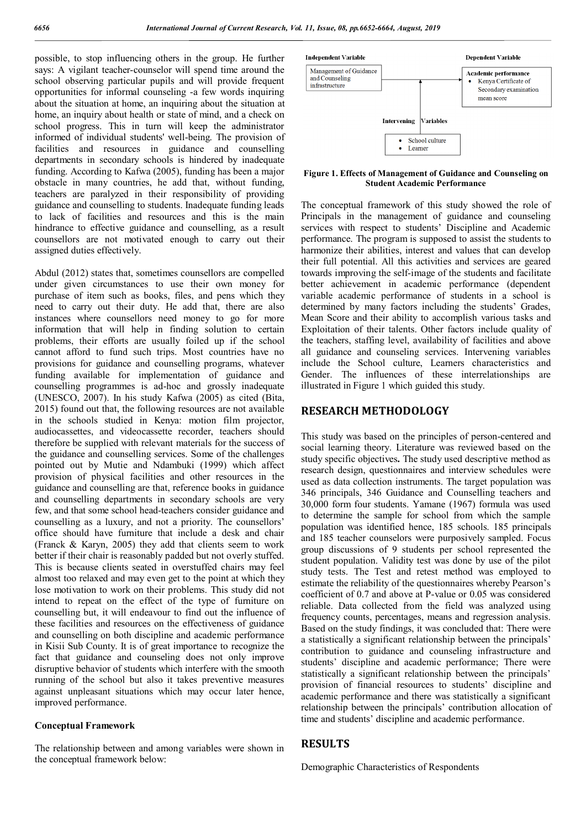possible, to stop influencing others in the group. He further says: A vigilant teacher-counselor will spend time around the school observing particular pupils and will provide frequent opportunities for informal counseling -a few words inquiring about the situation at home, an inquiring about the situation at home, an inquiry about health or state of mind, and a check on school progress. This in turn will keep the administrator informed of individual students' well-being. The provision of facilities and resources in guidance and counselling departments in secondary schools is hindered by inadequate funding. According to Kafwa (2005), funding has been a major obstacle in many countries, he add that, without funding, teachers are paralyzed in their responsibility of providing guidance and counselling to students. Inadequate funding leads to lack of facilities and resources and this is the main hindrance to effective guidance and counselling, as a result counsellors are not motivated enough to carry out their assigned duties effectively.

Abdul (2012) states that, sometimes counsellors are compelled under given circumstances to use their own money for purchase of item such as books, files, and pens which they need to carry out their duty. He add that, there are also instances where counsellors need money to go for more information that will help in finding solution to certain problems, their efforts are usually foiled up if the school cannot afford to fund such trips. Most countries have no provisions for guidance and counselling programs, whatever funding available for implementation of guidance and counselling programmes is ad-hoc and grossly inadequate (UNESCO, 2007). In his study Kafwa (2005) as cited (Bita, 2015) found out that, the following resources are not available in the schools studied in Kenya: motion film projector, audiocassettes, and videocassette recorder, teachers should therefore be supplied with relevant materials for the success of the guidance and counselling services. Some of the challenges pointed out by Mutie and Ndambuki (1999) which affect provision of physical facilities and other resources in the guidance and counselling are that, reference books in guidance and counselling departments in secondary schools are very few, and that some school head-teachers consider guidance and counselling as a luxury, and not a priority. The counsellors' office should have furniture that include a desk and chair (Franck & Karyn, 2005) they add that clients seem to work better if their chair is reasonably padded but not overly stuffed. This is because clients seated in overstuffed chairs may feel almost too relaxed and may even get to the point at which they lose motivation to work on their problems. This study did not intend to repeat on the effect of the type of furniture on counselling but, it will endeavour to find out the influence of these facilities and resources on the effectiveness of guidance and counselling on both discipline and academic performance in Kisii Sub County. It is of great importance to recognize the fact that guidance and counseling does not only improve disruptive behavior of students which interfere with the smooth running of the school but also it takes preventive measures against unpleasant situations which may occur later hence, improved performance.

#### **Conceptual Framework**

The relationship between and among variables were shown in the conceptual framework below:



**Figure 1. Effects of Management of Guidance and Counseling on Student Academic Performance**

The conceptual framework of this study showed the role of Principals in the management of guidance and counseling services with respect to students' Discipline and Academic performance. The program is supposed to assist the students to harmonize their abilities, interest and values that can develop their full potential. All this activities and services are geared towards improving the self-image of the students and facilitate better achievement in academic performance (dependent variable academic performance of students in a school is determined by many factors including the students' Grades, Mean Score and their ability to accomplish various tasks and Exploitation of their talents. Other factors include quality of the teachers, staffing level, availability of facilities and above all guidance and counseling services. Intervening variables include the School culture, Learners characteristics and Gender. The influences of these interrelationships are illustrated in Figure 1 which guided this study.

### **RESEARCH METHODOLOGY**

This study was based on the principles of person-centered and social learning theory. Literature was reviewed based on the study specific objectives**.** The study used descriptive method as research design, questionnaires and interview schedules were used as data collection instruments. The target population was 346 principals, 346 Guidance and Counselling teachers and 30,000 form four students. Yamane (1967) formula was used to determine the sample for school from which the sample population was identified hence, 185 schools. 185 principals and 185 teacher counselors were purposively sampled. Focus group discussions of 9 students per school represented the student population. Validity test was done by use of the pilot study tests. The Test and retest method was employed to estimate the reliability of the questionnaires whereby Pearson's coefficient of 0.7 and above at P-value or 0.05 was considered reliable. Data collected from the field was analyzed using frequency counts, percentages, means and regression analysis. Based on the study findings, it was concluded that: There were a statistically a significant relationship between the principals' contribution to guidance and counseling infrastructure and students' discipline and academic performance; There were statistically a significant relationship between the principals' provision of financial resources to students' discipline and academic performance and there was statistically a significant relationship between the principals' contribution allocation of time and students' discipline and academic performance.

#### **RESULTS**

Demographic Characteristics of Respondents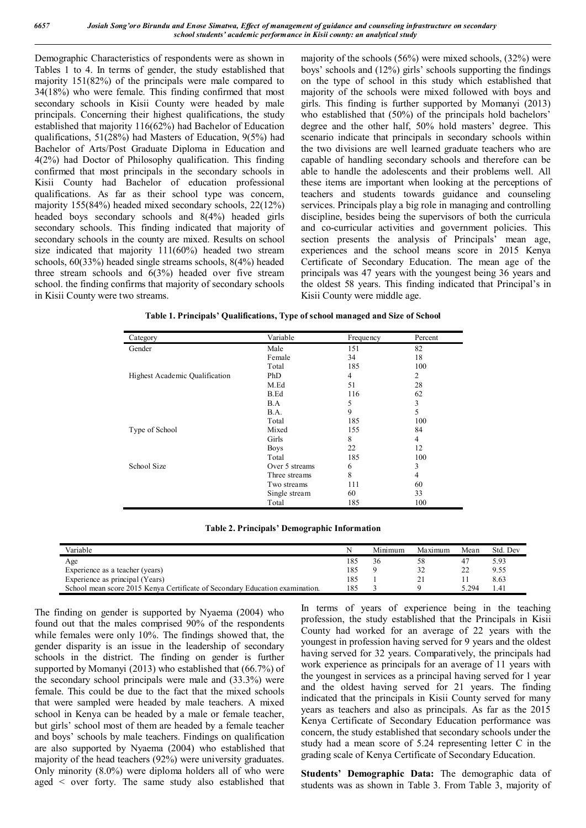Demographic Characteristics of respondents were as shown in Tables 1 to 4. In terms of gender, the study established that majority 151(82%) of the principals were male compared to 34(18%) who were female. This finding confirmed that most secondary schools in Kisii County were headed by male principals. Concerning their highest qualifications, the study established that majority 116(62%) had Bachelor of Education qualifications, 51(28%) had Masters of Education, 9(5%) had Bachelor of Arts/Post Graduate Diploma in Education and 4(2%) had Doctor of Philosophy qualification. This finding confirmed that most principals in the secondary schools in Kisii County had Bachelor of education professional qualifications. As far as their school type was concern, majority 155(84%) headed mixed secondary schools, 22(12%) headed boys secondary schools and 8(4%) headed girls secondary schools. This finding indicated that majority of secondary schools in the county are mixed. Results on school size indicated that majority 111(60%) headed two stream schools, 60(33%) headed single streams schools, 8(4%) headed three stream schools and 6(3%) headed over five stream school. the finding confirms that majority of secondary schools in Kisii County were two streams.

majority of the schools (56%) were mixed schools, (32%) were boys' schools and (12%) girls' schools supporting the findings on the type of school in this study which established that majority of the schools were mixed followed with boys and girls. This finding is further supported by Momanyi (2013) who established that (50%) of the principals hold bachelors' degree and the other half, 50% hold masters' degree. This scenario indicate that principals in secondary schools within the two divisions are well learned graduate teachers who are capable of handling secondary schools and therefore can be able to handle the adolescents and their problems well. All these items are important when looking at the perceptions of teachers and students towards guidance and counseling services. Principals play a big role in managing and controlling discipline, besides being the supervisors of both the curricula and co-curricular activities and government policies. This section presents the analysis of Principals' mean age, experiences and the school means score in 2015 Kenya Certificate of Secondary Education. The mean age of the principals was 47 years with the youngest being 36 years and the oldest 58 years. This finding indicated that Principal's in Kisii County were middle age.

| Category                       | Variable       | Frequency      | Percent |
|--------------------------------|----------------|----------------|---------|
| Gender                         | Male           | 151            | 82      |
|                                | Female         | 34             | 18      |
|                                | Total          | 185            | 100     |
| Highest Academic Qualification | PhD            | $\overline{4}$ | 2       |
|                                | M.Ed           | 51             | 28      |
|                                | B.Ed           | 116            | 62      |
|                                | B.A            | 5              | 3       |
|                                | B.A.           | 9              | 5       |
|                                | Total          | 185            | 100     |
| Type of School                 | Mixed          | 155            | 84      |
|                                | Girls          | 8              | 4       |
|                                | <b>Boys</b>    | 22             | 12      |
|                                | Total          | 185            | 100     |
| School Size                    | Over 5 streams | 6              | 3       |
|                                | Three streams  | 8              | 4       |
|                                | Two streams    | 111            | 60      |
|                                | Single stream  | 60             | 33      |
|                                | Total          | 185            | 100     |

|  | Table 1. Principals' Qualifications, Type of school managed and Size of School |  |
|--|--------------------------------------------------------------------------------|--|
|  |                                                                                |  |

**Table 2. Principals' Demographic Information**

| Variable                                                                     | N   | Minimum | Maximum | Mean  | Std. Dev |
|------------------------------------------------------------------------------|-----|---------|---------|-------|----------|
| Age                                                                          | 185 | 50      | 58      |       | 5.93     |
| Experience as a teacher (years)                                              | 185 |         |         |       | 9.55     |
| Experience as principal (Years)                                              | 185 |         |         |       | 8.63     |
| School mean score 2015 Kenya Certificate of Secondary Education examination. | 185 |         |         | 5.294 | l.41     |

The finding on gender is supported by Nyaema (2004) who found out that the males comprised 90% of the respondents while females were only 10%. The findings showed that, the gender disparity is an issue in the leadership of secondary schools in the district. The finding on gender is further supported by Momanyi (2013) who established that (66.7%) of the secondary school principals were male and (33.3%) were female. This could be due to the fact that the mixed schools that were sampled were headed by male teachers. A mixed school in Kenya can be headed by a male or female teacher, but girls' school most of them are headed by a female teacher and boys' schools by male teachers. Findings on qualification are also supported by Nyaema (2004) who established that majority of the head teachers (92%) were university graduates. Only minority (8.0%) were diploma holders all of who were aged < over forty. The same study also established that

In terms of years of experience being in the teaching profession, the study established that the Principals in Kisii County had worked for an average of 22 years with the youngest in profession having served for 9 years and the oldest having served for 32 years. Comparatively, the principals had work experience as principals for an average of 11 years with the youngest in services as a principal having served for 1 year and the oldest having served for 21 years. The finding indicated that the principals in Kisii County served for many years as teachers and also as principals. As far as the 2015 Kenya Certificate of Secondary Education performance was concern, the study established that secondary schools under the study had a mean score of 5.24 representing letter C in the grading scale of Kenya Certificate of Secondary Education.

**Students' Demographic Data:** The demographic data of students was as shown in Table 3. From Table 3, majority of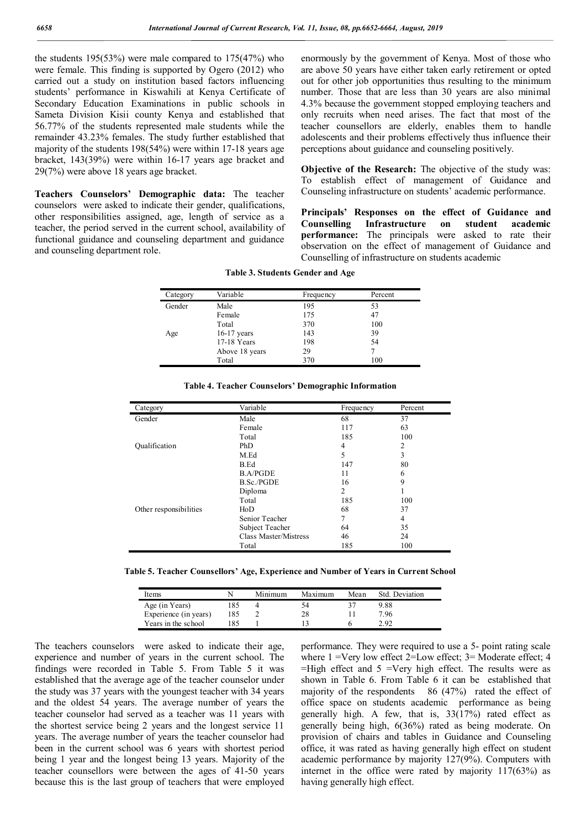the students 195(53%) were male compared to 175(47%) who were female. This finding is supported by Ogero (2012) who carried out a study on institution based factors influencing students' performance in Kiswahili at Kenya Certificate of Secondary Education Examinations in public schools in Sameta Division Kisii county Kenya and established that 56.77% of the students represented male students while the remainder 43.23% females. The study further established that majority of the students 198(54%) were within 17-18 years age bracket, 143(39%) were within 16-17 years age bracket and 29(7%) were above 18 years age bracket.

**Teachers Counselors' Demographic data:** The teacher counselors were asked to indicate their gender, qualifications, other responsibilities assigned, age, length of service as a teacher, the period served in the current school, availability of functional guidance and counseling department and guidance and counseling department role.

enormously by the government of Kenya. Most of those who are above 50 years have either taken early retirement or opted out for other job opportunities thus resulting to the minimum number. Those that are less than 30 years are also minimal 4.3% because the government stopped employing teachers and only recruits when need arises. The fact that most of the teacher counsellors are elderly, enables them to handle adolescents and their problems effectively thus influence their perceptions about guidance and counseling positively.

**Objective of the Research:** The objective of the study was: To establish effect of management of Guidance and Counseling infrastructure on students' academic performance.

**Principals' Responses on the effect of Guidance and Counselling Infrastructure on student academic performance:** The principals were asked to rate their observation on the effect of management of Guidance and Counselling of infrastructure on students academic

| Variable       | Frequency | Percent |
|----------------|-----------|---------|
| Male           | 195       | 53      |
| Female         | 175       | 47      |
| Total          | 370       | 100     |
| $16-17$ years  | 143       | 39      |
| 17-18 Years    | 198       | 54      |
| Above 18 years | 29        |         |
| Total          | 370       | 100     |
|                |           |         |

**Table 3. Students Gender and Age**

| Category               | Variable              | Frequency      | Percent |
|------------------------|-----------------------|----------------|---------|
| Gender                 | Male                  | 68             | 37      |
|                        | Female                | 117            | 63      |
|                        | Total                 | 185            | 100     |
| Qualification          | PhD                   | 4              | 2       |
|                        | M.Ed                  | 5              | 3       |
|                        | B.Ed                  | 147            | 80      |
|                        | <b>B.A/PGDE</b>       | 11             | 6       |
|                        | <b>B.Sc./PGDE</b>     | 16             | 9       |
|                        | Diploma               | $\overline{c}$ |         |
|                        | Total                 | 185            | 100     |
| Other responsibilities | H <sub>0</sub>        | 68             | 37      |
|                        | Senior Teacher        | 7              | 4       |
|                        | Subject Teacher       | 64             | 35      |
|                        | Class Master/Mistress | 46             | 24      |
|                        | Total                 | 185            | 100     |

**Table 4. Teacher Counselors' Demographic Information**

**Table 5. Teacher Counsellors' Age, Experience and Number of Years in Current School**

| Items                 |     | Minimum | Maximum | Mean | Std. Deviation |
|-----------------------|-----|---------|---------|------|----------------|
| Age (in Years)        | .85 |         | ٦4      |      | 9.88           |
| Experience (in years) | 185 |         | 28      |      | 7.96           |
| Years in the school   | 85  |         |         |      | 2.92           |

The teachers counselors were asked to indicate their age, experience and number of years in the current school. The findings were recorded in Table 5. From Table 5 it was established that the average age of the teacher counselor under the study was 37 years with the youngest teacher with 34 years and the oldest 54 years. The average number of years the teacher counselor had served as a teacher was 11 years with the shortest service being 2 years and the longest service 11 years. The average number of years the teacher counselor had been in the current school was 6 years with shortest period being 1 year and the longest being 13 years. Majority of the teacher counsellors were between the ages of 41-50 years because this is the last group of teachers that were employed performance. They were required to use a 5- point rating scale where  $1 = \text{Very low effect } 2 = \text{Low effect}$ ;  $3 = \text{Modern effect}$ ; 4  $=$ High effect and  $5 =$ Very high effect. The results were as shown in Table 6. From Table 6 it can be established that majority of the respondents 86 (47%) rated the effect of office space on students academic performance as being generally high. A few, that is, 33(17%) rated effect as generally being high, 6(36%) rated as being moderate. On provision of chairs and tables in Guidance and Counseling office, it was rated as having generally high effect on student academic performance by majority 127(9%). Computers with internet in the office were rated by majority 117(63%) as having generally high effect.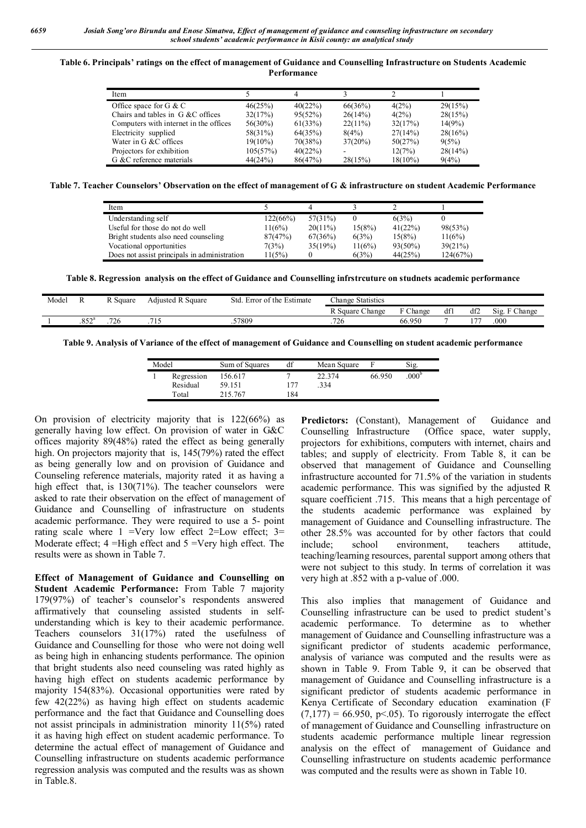#### **Table 6. Principals' ratings on the effect of management of Guidance and Counselling Infrastructure on Students Academic Performance**

| Item                                   |            |         |            |            |         |
|----------------------------------------|------------|---------|------------|------------|---------|
| Office space for $G \& C$              | 46(25%)    | 40(22%) | 66(36%)    | 4(2%)      | 29(15%) |
| Chairs and tables in G &C offices      | 32(17%)    | 95(52%) | 26(14%)    | 4(2%)      | 28(15%) |
| Computers with internet in the offices | $56(30\%)$ | 61(33%) | $22(11\%)$ | 32(17%)    | 14(9%)  |
| Electricity supplied                   | 58(31%)    | 64(35%) | 8(4%)      | 27(14%)    | 28(16%) |
| Water in G &C offices                  | $19(10\%)$ | 70(38%) | $37(20\%)$ | 50(27%)    | 9(5%)   |
| Projectors for exhibition              | 105(57%)   | 40(22%) |            | 12(7%)     | 28(14%) |
| G &C reference materials               | 44(24%)    | 86(47%) | 28(15%)    | $18(10\%)$ | 9(4%)   |

**Table 7. Teacher Counselors' Observation on the effect of management of G & infrastructure on student Academic Performance**

| Item                                         |          |            |        |            |          |
|----------------------------------------------|----------|------------|--------|------------|----------|
| Understanding self                           | 122(66%) | $57(31\%)$ |        | 6(3%)      |          |
| Useful for those do not do well              | 11(6%)   | $20(11\%)$ | 15(8%) | 41(22%)    | 98(53%)  |
| Bright students also need counseling         | 87(47%)  | 67(36%)    | 6(3%)  | 15(8%)     | 11(6%)   |
| Vocational opportunities                     | 7(3%)    | 35(19%)    | 11(6%) | $93(50\%)$ | 39(21%)  |
| Does not assist principals in administration | 11(5%)   |            | 6(3%)  | 44(25%)    | 124(67%) |

**Table 8. Regression analysis on the effect of Guidance and Counselling infrstrcuture on studnets academic performance**

| Model |                | Square | <b>Adjusted R Square</b> | Std<br>Error of the Estimate | Change Statistics |        |    |         |               |
|-------|----------------|--------|--------------------------|------------------------------|-------------------|--------|----|---------|---------------|
|       |                |        |                          |                              | R Square Change   | Change | df | df2     | Change<br>512 |
|       | $.852^{\circ}$ | 726    | .                        | 57809                        | .726              | 66.950 |    | $1 - T$ | .000          |

**Table 9. Analysis of Variance of the effect of management of Guidance and Counselling on student academic performance**

| Model |                        | Sum of Squares    | df  | Mean Square   |        | Sig.             |
|-------|------------------------|-------------------|-----|---------------|--------|------------------|
|       | Regression<br>Residual | 156.617<br>59.151 | 177 | 22.374<br>334 | 66.950 | 000 <sup>b</sup> |
|       | Total                  | 215.767           | 184 |               |        |                  |

On provision of electricity majority that is 122(66%) as generally having low effect. On provision of water in G&C offices majority 89(48%) rated the effect as being generally high. On projectors majority that is, 145(79%) rated the effect as being generally low and on provision of Guidance and Counseling reference materials, majority rated it as having a high effect that, is 130(71%). The teacher counselors were asked to rate their observation on the effect of management of Guidance and Counselling of infrastructure on students academic performance. They were required to use a 5- point rating scale where  $1 = \text{Very low effect } 2 = \text{Low effect; } 3 =$ Moderate effect;  $4 =$ High effect and  $5 =$ Very high effect. The results were as shown in Table 7.

**Effect of Management of Guidance and Counselling on Student Academic Performance:** From Table 7 majority 179(97%) of teacher's counselor's respondents answered affirmatively that counseling assisted students in selfunderstanding which is key to their academic performance. Teachers counselors 31(17%) rated the usefulness of Guidance and Counselling for those who were not doing well as being high in enhancing students performance. The opinion that bright students also need counseling was rated highly as having high effect on students academic performance by majority 154(83%). Occasional opportunities were rated by few 42(22%) as having high effect on students academic performance and the fact that Guidance and Counselling does not assist principals in administration minority 11(5%) rated it as having high effect on student academic performance. To determine the actual effect of management of Guidance and Counselling infrastructure on students academic performance regression analysis was computed and the results was as shown in Table.8.

Predictors: (Constant), Management of Guidance and Counselling Infrastructure (Office space, water supply, projectors for exhibitions, computers with internet, chairs and tables; and supply of electricity. From Table 8, it can be observed that management of Guidance and Counselling infrastructure accounted for 71.5% of the variation in students academic performance. This was signified by the adjusted R square coefficient .715. This means that a high percentage of the students academic performance was explained by management of Guidance and Counselling infrastructure. The other 28.5% was accounted for by other factors that could include; school environment, teachers attitude, teaching/learning resources, parental support among others that were not subject to this study. In terms of correlation it was very high at .852 with a p-value of .000.

This also implies that management of Guidance and Counselling infrastructure can be used to predict student's academic performance. To determine as to whether management of Guidance and Counselling infrastructure was a significant predictor of students academic performance, analysis of variance was computed and the results were as shown in Table 9. From Table 9, it can be observed that management of Guidance and Counselling infrastructure is a significant predictor of students academic performance in Kenya Certificate of Secondary education examination (F  $(7,177) = 66.950$ , p<.05). To rigorously interrogate the effect of management of Guidance and Counselling infrastructure on students academic performance multiple linear regression analysis on the effect of management of Guidance and Counselling infrastructure on students academic performance was computed and the results were as shown in Table 10.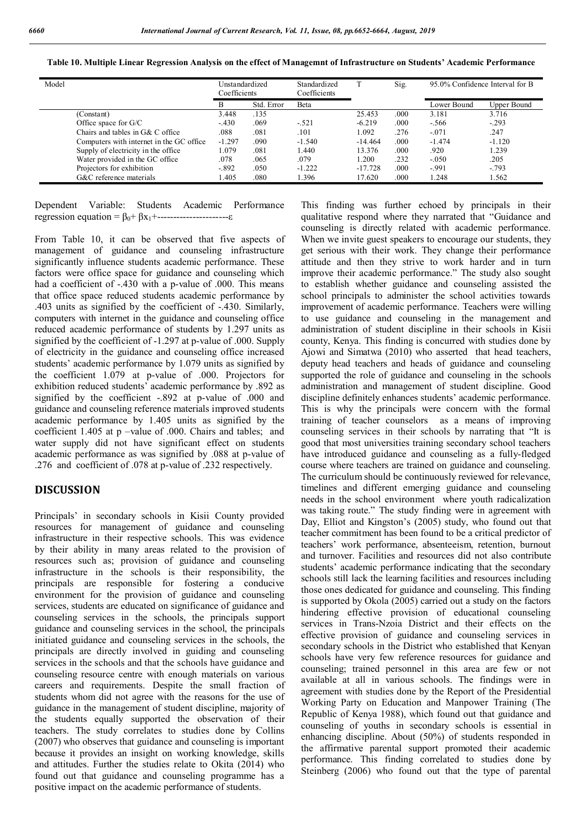|  |  |  | Table 10. Multiple Linear Regression Analysis on the effect of Managemnt of Infrastructure on Students' Academic Performance |  |  |
|--|--|--|------------------------------------------------------------------------------------------------------------------------------|--|--|
|  |  |  |                                                                                                                              |  |  |

| Model |                                           | Unstandardized<br>Coefficients |            | Standardized<br>Coefficients |           | Sig.  | 95.0% Confidence Interval for B |             |
|-------|-------------------------------------------|--------------------------------|------------|------------------------------|-----------|-------|---------------------------------|-------------|
|       |                                           | в                              | Std. Error | Beta                         |           |       | Lower Bound                     | Upper Bound |
|       | (Constant)                                | 3.448                          | .135       |                              | 25.453    | .000  | 3.181                           | 3.716       |
|       | Office space for G/C                      | $-.430$                        | .069       | $-.521$                      | $-6.219$  | .000. | $-.566$                         | $-.293$     |
|       | Chairs and tables in G& C office          | .088                           | .081       | .101                         | 1.092     | .276  | $-071$                          | .247        |
|       | Computers with internet in the GC office. | $-1.297$                       | .090       | $-1.540$                     | $-14.464$ | .000  | $-1.474$                        | $-1.120$    |
|       | Supply of electricity in the office       | 1.079                          | .081       | .440                         | 13.376    | .000  | .920                            | .239        |
|       | Water provided in the GC office           | .078                           | .065       | .079                         | 1.200     | .232  | $-.050$                         | .205        |
|       | Projectors for exhibition                 | $-.892$                        | .050       | $-1.222$                     | $-17.728$ | .000  | $-991$                          | $-0.793$    |
|       | G&C reference materials                   | .405                           | .080       | .396                         | 17.620    | .000  | 1.248                           | .562        |

Dependent Variable: Students Academic Performance regression equation =  $β_0 + βx_1 +$ -------------------------ε

From Table 10, it can be observed that five aspects of management of guidance and counseling infrastructure significantly influence students academic performance. These factors were office space for guidance and counseling which had a coefficient of -.430 with a p-value of .000. This means that office space reduced students academic performance by .403 units as signified by the coefficient of -.430. Similarly, computers with internet in the guidance and counseling office reduced academic performance of students by 1.297 units as signified by the coefficient of -1.297 at p-value of .000. Supply of electricity in the guidance and counseling office increased students' academic performance by 1.079 units as signified by the coefficient 1.079 at p-value of .000. Projectors for exhibition reduced students' academic performance by .892 as signified by the coefficient -.892 at p-value of .000 and guidance and counseling reference materials improved students academic performance by 1.405 units as signified by the coefficient 1.405 at p –value of .000. Chairs and tables; and water supply did not have significant effect on students academic performance as was signified by .088 at p-value of .276 and coefficient of .078 at p-value of .232 respectively.

### **DISCUSSION**

Principals' in secondary schools in Kisii County provided resources for management of guidance and counseling infrastructure in their respective schools. This was evidence by their ability in many areas related to the provision of resources such as; provision of guidance and counseling infrastructure in the schools is their responsibility, the principals are responsible for fostering a conducive environment for the provision of guidance and counseling services, students are educated on significance of guidance and counseling services in the schools, the principals support guidance and counseling services in the school, the principals initiated guidance and counseling services in the schools, the principals are directly involved in guiding and counseling services in the schools and that the schools have guidance and counseling resource centre with enough materials on various careers and requirements. Despite the small fraction of students whom did not agree with the reasons for the use of guidance in the management of student discipline, majority of the students equally supported the observation of their teachers. The study correlates to studies done by Collins (2007) who observes that guidance and counseling is important because it provides an insight on working knowledge, skills and attitudes. Further the studies relate to Okita (2014) who found out that guidance and counseling programme has a positive impact on the academic performance of students.

This finding was further echoed by principals in their qualitative respond where they narrated that "Guidance and counseling is directly related with academic performance. When we invite guest speakers to encourage our students, they get serious with their work. They change their performance attitude and then they strive to work harder and in turn improve their academic performance." The study also sought to establish whether guidance and counseling assisted the school principals to administer the school activities towards improvement of academic performance. Teachers were willing to use guidance and counseling in the management and administration of student discipline in their schools in Kisii county, Kenya. This finding is concurred with studies done by Ajowi and Simatwa (2010) who asserted that head teachers, deputy head teachers and heads of guidance and counseling supported the role of guidance and counseling in the schools administration and management of student discipline. Good discipline definitely enhances students' academic performance. This is why the principals were concern with the formal training of teacher counselors as a means of improving counseling services in their schools by narrating that "It is good that most universities training secondary school teachers have introduced guidance and counseling as a fully-fledged course where teachers are trained on guidance and counseling. The curriculum should be continuously reviewed for relevance, timelines and different emerging guidance and counseling needs in the school environment where youth radicalization was taking route." The study finding were in agreement with Day, Elliot and Kingston's (2005) study, who found out that teacher commitment has been found to be a critical predictor of teachers' work performance, absenteeism, retention, burnout and turnover. Facilities and resources did not also contribute students' academic performance indicating that the secondary schools still lack the learning facilities and resources including those ones dedicated for guidance and counseling. This finding is supported by Okola (2005) carried out a study on the factors hindering effective provision of educational counseling services in Trans-Nzoia District and their effects on the effective provision of guidance and counseling services in secondary schools in the District who established that Kenyan schools have very few reference resources for guidance and counseling; trained personnel in this area are few or not available at all in various schools. The findings were in agreement with studies done by the Report of the Presidential Working Party on Education and Manpower Training (The Republic of Kenya 1988), which found out that guidance and counseling of youths in secondary schools is essential in enhancing discipline. About (50%) of students responded in the affirmative parental support promoted their academic performance. This finding correlated to studies done by Steinberg (2006) who found out that the type of parental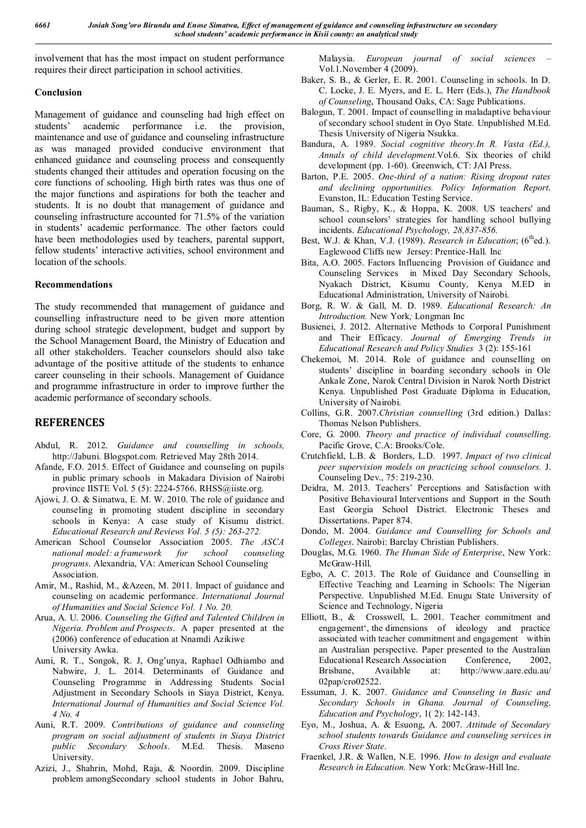involvement that has the most impact on student performance requires their direct participation in school activities.

### **Conclusion**

Management of guidance and counseling had high effect on students' academic performance i.e. the provision, maintenance and use of guidance and counseling infrastructure as was managed provided conducive environment that enhanced guidance and counseling process and consequently students changed their attitudes and operation focusing on the core functions of schooling. High birth rates was thus one of the major functions and aspirations for both the teacher and students. It is no doubt that management of guidance and counseling infrastructure accounted for 71.5% of the variation in students' academic performance. The other factors could have been methodologies used by teachers, parental support, fellow students' interactive activities, school environment and location of the schools.

### **Recommendations**

The study recommended that management of guidance and counselling infrastructure need to be given more attention during school strategic development, budget and support by the School Management Board, the Ministry of Education and all other stakeholders. Teacher counselors should also take advantage of the positive attitude of the students to enhance career counseling in their schools. Management of Guidance and programme infrastructure in order to improve further the academic performance of secondary schools.

# **REFERENCES**

- Abdul, R. 2012. *Guidance and counselling in schools,* http://Jabuni. Blogspot.com. Retrieved May 28th 2014.
- Afande, F.O. 2015. Effect of Guidance and counseling on pupils in public primary schools in Makadara Division of Nairobi province IISTE Vol. 5 (5): 2224-5766. RHSS@iiste.org.
- Ajowi, J. O. & Simatwa, E. M. W. 2010. The role of guidance and counseling in promoting student discipline in secondary schools in Kenya: A case study of Kisumu district. *Educational Research and Reviews Vol. 5 (5): 263-272.*
- American School Counselor Association 2005. *The ASCA national model: a framework for school counseling programs*. Alexandria, VA: American School Counseling Association.
- Amir, M., Rashid, M., &Azeen, M. 2011. Impact of guidance and counseling on academic performance. *International Journal of Humanities and Social Science Vol. 1 No. 20.*
- Arua, A. U. 2006. *Counseling the Gifted and Talented Children in Nigeria. Problem and Prospects*. A paper presented at the (2006) conference of education at Nnamdi Azikiwe University Awka.
- Auni, R. T., Songok, R. J, Ong'unya, Raphael Odhiambo and Nabwire, J. L. 2014. Determinants of Guidance and Counseling Programme in Addressing Students Social Adjustment in Secondary Schools in Siaya District, Kenya. *International Journal of Humanities and Social Science Vol. 4 No. 4*
- Auni, R.T. 2009. *Contributions of guidance and counseling program on social adjustment of students in Siaya District public Secondary Schools*. M.Ed. Thesis. Maseno University.
- Azizi, J., Shahrin, Mohd, Raja, & Noordin. 2009. Discipline problem amongSecondary school students in Johor Bahru,

Malaysia. *European journal of social sciences* – Vol.1.November 4 (2009).

- Baker, S. B., & Gerler, E. R. 2001. Counseling in schools. In D. C. Locke, J. E. Myers, and E. L. Herr (Eds.), *The Handbook of Counseling*, Thousand Oaks, CA: Sage Publications.
- Balogun, T. 2001. Impact of counselling in maladaptive behaviour of secondary school student in Oyo State*.* Unpublished M.Ed. Thesis University of Nigeria Nsukka.
- Bandura, A. 1989. *Social cognitive theory.In R. Vasta (Ed.), Annals of child development.*Vol.6. Six theories of child development (pp. 1-60). Greenwich, CT: JAI Press.
- Barton, P.E. 2005. *One-third of a nation: Rising dropout rates and declining opportunities. Policy Information Report*. Evanston, IL: Education Testing Service.
- Bauman, S., Rigby, K., & Hoppa, K. 2008. US teachers' and school counselors' strategies for handling school bullying incidents. *Educational Psychology, 28,837-856.*
- Best, W.J. & Khan, V.J. (1989). *Research in Education*; (6<sup>th</sup>ed.). Eaglewood Cliffs new Jersey: Prentice-Hall. Inc
- Bita, A.O. 2005. Factors Influencing Provision of Guidance and Counseling Services in Mixed Day Secondary Schools, Nyakach District, Kisumu County, Kenya M.ED in Educational Administration, University of Nairobi.
- Borg, R. W. & Gall, M. D. 1989. *Educational Research: An Introduction.* New York*;* Longman Inc
- Busienei, J. 2012. Alternative Methods to Corporal Punishment and Their Efficacy. *Journal of Emerging Trends in Educational Research and Policy Studies* 3 (2): 155-161
- Chekemoi, M. 2014. Role of guidance and counselling on students' discipline in boarding secondary schools in Ole Ankale Zone, Narok Central Division in Narok North District Kenya. Unpublished Post Graduate Diploma in Education, University of Nairobi.
- Collins, G.R. 2007.*Christian counselling* (3rd edition.) Dallas: Thomas Nelson Publishers.
- Core, G. 2000. *Theory and practice of individual counselling*. Pacific Grove, C.A: Brooks/Cole.
- Crutchfield, L.B. & Borders, L.D. 1997. *Impact of two clinical peer supervision models on practicing school counselors.* J. Counseling Dev., 75: 219-230.
- Deidra, M. 2013. Teachers' Perceptions and Satisfaction with Positive Behavioural Interventions and Support in the South East Georgia School District. Electronic Theses and Dissertations. Paper 874.
- Dondo, M. 2004. *Guidance and Counselling for Schools and Colleges*. Nairobi: Barclay Christian Publishers.
- Douglas, M.G. 1960. *The Human Side of Enterprise*, New York: McGraw-Hill.
- Egbo, A. C. 2013. The Role of Guidance and Counselling in Effective Teaching and Learning in Schools: The Nigerian Perspective. Unpublished M.Ed. Enugu State University of Science and Technology, Nigeria
- Elliott, B., & Crosswell, L. 2001. Teacher commitment and engagement', the dimensions of ideology and practice associated with teacher commitment and engagement within an Australian perspective. Paper presented to the Australian Educational Research Association Conference. 2002. Educational Research Association Brisbane, Available at: http://www.aare.edu.au/ 02pap/cro02522.
- Essuman, J. K. 2007. *Guidance and Counseling in Basic and Secondary Schools in Ghana. Journal of Counseling, Education and Psychology*, 1( 2): 142-143.
- Eyo, M., Joshua, A. & Esuong, A. 2007. *Attitude of Secondary school students towards Guidance and counseling services in Cross River State*.
- Fraenkel, J.R. & Wallen, N.E. 1996. *How to design and evaluate Research in Education.* New York: McGraw-Hill Inc.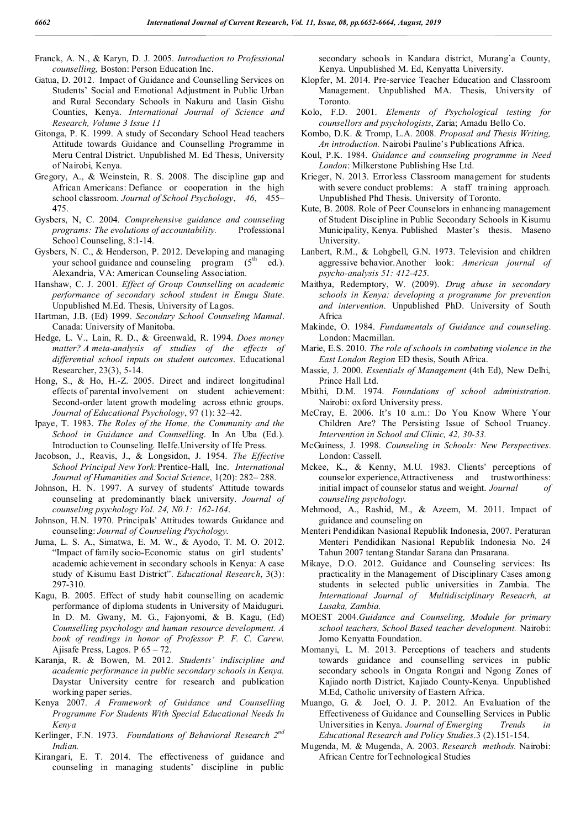- Franck, A. N., & Karyn, D. J. 2005. *Introduction to Professional counselling,* Boston: Person Education Inc.
- Gatua, D. 2012. Impact of Guidance and Counselling Services on Students' Social and Emotional Adjustment in Public Urban and Rural Secondary Schools in Nakuru and Uasin Gishu Counties, Kenya. *International Journal of Science and Research, Volume 3 Issue 11*
- Gitonga, P. K. 1999. A study of Secondary School Head teachers Attitude towards Guidance and Counselling Programme in Meru Central District. Unpublished M. Ed Thesis, University of Nairobi, Kenya.
- Gregory, A., & Weinstein, R. S. 2008. The discipline gap and African Americans: Defiance or cooperation in the high school classroom. *Journal of School Psychology*, *46*, 455– 475.
- Gysbers, N, C. 2004. *Comprehensive guidance and counseling programs: The evolutions of accountability.* Professional School Counseling, 8:1-14.
- Gysbers, N. C., & Henderson, P. 2012. Developing and managing your school guidance and counseling program  $(5<sup>th</sup>$  ed.). Alexandria, VA: American Counseling Association.
- Hanshaw, C. J. 2001. *Effect of Group Counselling on academic performance of secondary school student in Enugu State*. Unpublished M.Ed. Thesis, University of Lagos.
- Hartman, J.B. (Ed) 1999. *Secondary School Counseling Manual*. Canada: University of Manitoba.
- Hedge, L. V., Lain, R. D., & Greenwald, R. 1994. *Does money matter? A meta-analysis of studies of the effects of differential school inputs on student outcomes*. Educational Researcher, 23(3), 5-14.
- Hong, S., & Ho, H.-Z. 2005. Direct and indirect longitudinal effects of parental involvement on student achievement: Second-order latent growth modeling across ethnic groups. *Journal of Educational Psychology*, 97 (1): 32–42.
- Ipaye, T. 1983. *The Roles of the Home, the Community and the School in Guidance and Counselling*. In An Uba (Ed.). Introduction to Counseling. IleIfe.University of Ife Press.
- Jacobson, J., Reavis, J., & Longsidon, J. 1954. *The Effective School Principal New York:*Prentice-Hall, Inc. *International Journal of Humanities and Social Science*, 1(20): 282– 288.
- Johnson, H. N. 1997. A survey of students' Attitude towards counseling at predominantly black university. *Journal of counseling psychology Vol. 24, N0.1: 162-164*.
- Johnson, H.N. 1970. Principals' Attitudes towards Guidance and counseling: *Journal of Counseling Psychology.*
- Juma, L. S. A., Simatwa, E. M. W., & Ayodo, T. M. O. 2012. "Impact of family socio-Economic status on girl students' academic achievement in secondary schools in Kenya: A case study of Kisumu East District". *Educational Research*, 3(3): 297-310.
- Kagu, B. 2005. Effect of study habit counselling on academic performance of diploma students in University of Maiduguri. In D. M. Gwany, M. G., Fajonyomi, & B. Kagu, (Ed) *Counselling psychology and human resource development. A book of readings in honor of Professor P. F. C. Carew*. Ajisafe Press, Lagos. P 65 – 72.
- Karanja, R. & Bowen, M. 2012. *Students' indiscipline and academic performance in public secondary schools in Kenya.* Daystar University centre for research and publication working paper series.
- Kenya 2007. *A Framework of Guidance and Counselling Programme For Students With Special Educational Needs In Kenya*
- Kerlinger, F.N. 1973. *Foundations of Behavioral Research 2nd Indian.*
- Kirangari, E. T. 2014. The effectiveness of guidance and counseling in managing students' discipline in public

secondary schools in Kandara district, Murang`a County, Kenya. Unpublished M. Ed, Kenyatta University.

- Klopfer, M. 2014. Pre-service Teacher Education and Classroom Management. Unpublished MA. Thesis, University of Toronto.
- Kolo, F.D. 2001. *Elements of Psychological testing for counsellors and psychologists*, Zaria; Amadu Bello Co.
- Kombo, D.K. & Tromp, L.A. 2008. *Proposal and Thesis Writing, An introduction.* Nairobi Pauline's Publications Africa.
- Koul, P.K. 1984. *Guidance and counseling programme in Need London*: Milkerstone Publishing Hse Ltd.
- Krieger, N. 2013. Errorless Classroom management for students with severe conduct problems: A staff training approach*.*  Unpublished Phd Thesis. University of Toronto.
- Kute, B. 2008. Role of Peer Counselors in enhancing management of Student Discipline in Public Secondary Schools in Kisumu Municipality, Kenya. Published Master's thesis. Maseno University.
- Lanbert, R.M., & Lohgbell, G.N. 1973. Television and children aggressive behavior.Another look: *American journal of psycho-analysis 51: 412-425*.
- Maithya, Redemptory, W. (2009). *Drug abuse in secondary schools in Kenya: developing a programme for prevention and intervention*. Unpublished PhD. University of South Africa
- Makinde, O. 1984. *Fundamentals of Guidance and counseling*. London: Macmillan.
- Marie, E.S. 2010. *The role of schools in combating violence in the East London Region* ED thesis, South Africa.
- Massie, J. 2000. *Essentials of Management* (4th Ed), New Delhi, Prince Hall Ltd.
- Mbithi, D.M. 1974. *Foundations of school administration*. Nairobi: oxford University press.
- McCray, E. 2006. It's 10 a.m.: Do You Know Where Your Children Are? The Persisting Issue of School Truancy. *Intervention in School and Clinic, 42, 30-33.*
- McGuiness, J. 1998. *Counseling in Schools: New Perspectives*. London: Cassell.
- Mckee, K., & Kenny, M.U. 1983. Clients' perceptions of counselor experience,Attractiveness and trustworthiness: initial impact of counselor status and weight. *Journal of counseling psychology*.
- Mehmood, A., Rashid, M., & Azeem, M. 2011. Impact of guidance and counseling on
- Menteri Pendidikan Nasional Republik Indonesia, 2007. Peraturan Menteri Pendidikan Nasional Republik Indonesia No. 24 Tahun 2007 tentang Standar Sarana dan Prasarana.
- Mikaye, D.O. 2012. Guidance and Counseling services: Its practicality in the Management of Disciplinary Cases among students in selected public universities in Zambia. The *International Journal of Multidisciplinary Reseacrh, at Lusaka, Zambia.*
- MOEST 2004.*Guidance and Counseling, Module for primary school teachers, School Based teacher development.* Nairobi: Jomo Kenyatta Foundation.
- Momanyi, L. M. 2013. Perceptions of teachers and students towards guidance and counselling services in public secondary schools in Ongata Rongai and Ngong Zones of Kajiado north District, Kajiado County-Kenya. Unpublished M.Ed, Catholic university of Eastern Africa.
- Muango, G. & Joel, O. J. P. 2012. An Evaluation of the Effectiveness of Guidance and Counselling Services in Public Universities in Kenya. *Journal of Emerging Trends in Educational Research and Policy Studies*.3 (2).151-154.
- Mugenda, M. & Mugenda, A. 2003. *Research methods.* Nairobi: African Centre forTechnological Studies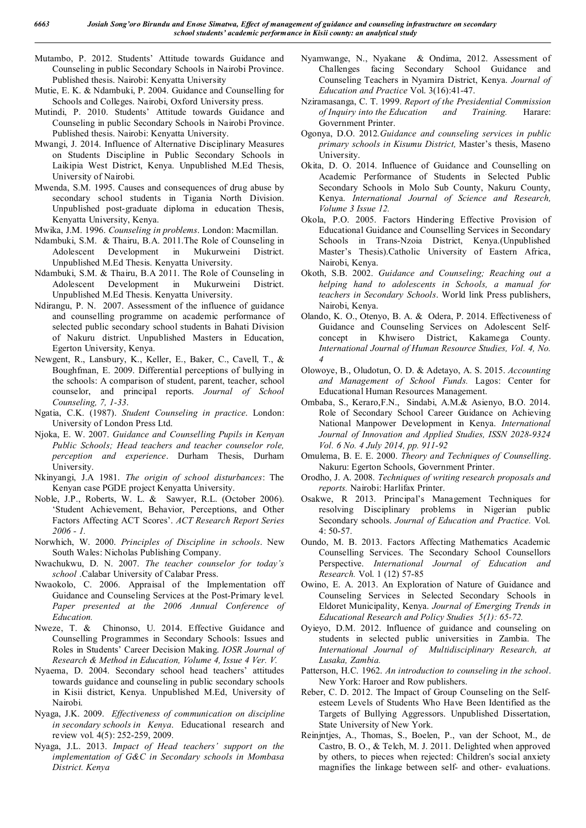- Mutambo, P. 2012. Students' Attitude towards Guidance and Counseling in public Secondary Schools in Nairobi Province. Published thesis. Nairobi: Kenyatta University
- Mutie, E. K. & Ndambuki, P. 2004. Guidance and Counselling for Schools and Colleges. Nairobi, Oxford University press.
- Mutindi, P. 2010. Students' Attitude towards Guidance and Counseling in public Secondary Schools in Nairobi Province. Published thesis. Nairobi: Kenyatta University.
- Mwangi, J. 2014. Influence of Alternative Disciplinary Measures on Students Discipline in Public Secondary Schools in Laikipia West District, Kenya. Unpublished M.Ed Thesis, University of Nairobi.
- Mwenda, S.M. 1995. Causes and consequences of drug abuse by secondary school students in Tigania North Division. Unpublished post-graduate diploma in education Thesis, Kenyatta University, Kenya.
- Mwika, J.M. 1996. *Counseling in problems*. London: Macmillan.
- Ndambuki, S.M. & Thairu, B.A. 2011.The Role of Counseling in Adolescent Development in Mukurweini District. Unpublished M.Ed Thesis. Kenyatta University.
- Ndambuki, S.M. & Thairu, B.A 2011. The Role of Counseling in Adolescent Development in Mukurweini District. Unpublished M.Ed Thesis. Kenyatta University.
- Ndirangu, P. N. 2007. Assessment of the influence of guidance and counselling programme on academic performance of selected public secondary school students in Bahati Division of Nakuru district. Unpublished Masters in Education, Egerton University, Kenya.
- Newgent, R., Lansbury, K., Keller, E., Baker, C., Cavell, T., & Boughfman, E. 2009. Differential perceptions of bullying in the schools: A comparison of student, parent, teacher, school counselor, and principal reports. *Journal of School Counseling, 7, 1-33*.
- Ngatia, C.K. (1987). *Student Counseling in practice*. London: University of London Press Ltd.
- Njoka, E. W. 2007. *Guidance and Counselling Pupils in Kenyan Public Schools; Head teachers and teacher counselor role, perception and experience*. Durham Thesis, Durham University.
- Nkinyangi, J.A 1981. *The origin of school disturbances*: The Kenyan case PGDE project Kenyatta University.
- Noble, J.P., Roberts, W. L. & Sawyer, R.L. (October 2006). 'Student Achievement, Behavior, Perceptions, and Other Factors Affecting ACT Scores'. *ACT Research Report Series 2006 - 1.*
- Norwhich, W. 2000. *Principles of Discipline in schools*. New South Wales: Nicholas Publishing Company.
- Nwachukwu, D. N. 2007. *The teacher counselor for today's school* .Calabar University of Calabar Press.
- Nwaokolo, C. 2006. Appraisal of the Implementation off Guidance and Counseling Services at the Post-Primary level. *Paper presented at the 2006 Annual Conference of Education.*
- Nweze, T. & Chinonso, U. 2014. Effective Guidance and Counselling Programmes in Secondary Schools: Issues and Roles in Students' Career Decision Making. *IOSR Journal of Research & Method in Education, Volume 4, Issue 4 Ver. V.*
- Nyaema, D. 2004. Secondary school head teachers' attitudes towards guidance and counseling in public secondary schools in Kisii district, Kenya. Unpublished M.Ed, University of Nairobi.
- Nyaga, J.K. 2009. *Effectiveness of communication on discipline in secondary schools in Kenya*. Educational research and review vol. 4(5): 252-259, 2009.
- Nyaga, J.L. 2013. *Impact of Head teachers' support on the implementation of G&C in Secondary schools in Mombasa District. Kenya*
- Nyamwange, N., Nyakane & Ondima, 2012. Assessment of Challenges facing Secondary School Guidance and Counseling Teachers in Nyamira District, Kenya. *Journal of Education and Practice* Vol. 3(16):41-47.
- Nziramasanga, C. T. 1999. *Report of the Presidential Commission of Inquiry into the Education and Training.* Harare: Government Printer.
- Ogonya, D.O. 2012*.Guidance and counseling services in public primary schools in Kisumu District,* Master's thesis, Maseno **University**
- Okita, D. O. 2014. Influence of Guidance and Counselling on Academic Performance of Students in Selected Public Secondary Schools in Molo Sub County, Nakuru County, Kenya. *International Journal of Science and Research, Volume 3 Issue 12.*
- Okola, P.O. 2005. Factors Hindering Effective Provision of Educational Guidance and Counselling Services in Secondary Schools in Trans-Nzoia District, Kenya.(Unpublished Master's Thesis).Catholic University of Eastern Africa, Nairobi, Kenya.
- Okoth, S.B. 2002. *Guidance and Counseling; Reaching out a helping hand to adolescents in Schools, a manual for teachers in Secondary Schools*. World link Press publishers, Nairobi, Kenya.
- Olando, K. O., Otenyo, B. A. & Odera, P. 2014. Effectiveness of Guidance and Counseling Services on Adolescent Selfconcept in Khwisero District, Kakamega County. *International Journal of Human Resource Studies, Vol. 4, No. 4*
- Olowoye, B., Oludotun, O. D. & Adetayo, A. S. 2015. *Accounting and Management of School Funds.* Lagos: Center for Educational Human Resources Management.
- Ombaba, S., Keraro,F.N., Sindabi, A.M.& Asienyo, B.O. 2014. Role of Secondary School Career Guidance on Achieving National Manpower Development in Kenya. *International Journal of Innovation and Applied Studies, ISSN 2028-9324 Vol. 6 No. 4 July 2014, pp. 911-92*
- Omulema, B. E. E. 2000. *Theory and Techniques of Counselling*. Nakuru: Egerton Schools, Government Printer.
- Orodho, J. A. 2008. *Techniques of writing research proposals and reports.* Nairobi: Harlifax Printer.
- Osakwe, R 2013. Principal's Management Techniques for resolving Disciplinary problems in Nigerian public Secondary schools. *Journal of Education and Practice.* Vol. 4: 50-57.
- Oundo, M. B. 2013. Factors Affecting Mathematics Academic Counselling Services. The Secondary School Counsellors Perspective. *International Journal of Education and Research.* Vol. 1 (12) 57-85
- Owino, E. A. 2013. An Exploration of Nature of Guidance and Counseling Services in Selected Secondary Schools in Eldoret Municipality, Kenya. *Journal of Emerging Trends in Educational Research and Policy Studies 5(1): 65-72.*
- Oyieyo, D.M. 2012. Influence of guidance and counseling on students in selected public universities in Zambia. The *International Journal of Multidisciplinary Research, at Lusaka, Zambia.*
- Patterson, H.C. 1962. *An introduction to counseling in the school*. New York: Haroer and Row publishers.
- Reber, C. D. 2012. The Impact of Group Counseling on the Selfesteem Levels of Students Who Have Been Identified as the Targets of Bullying Aggressors. Unpublished Dissertation, State University of New York.
- Reinjntjes, A., Thomas, S., Boelen, P., van der Schoot, M., de Castro, B. O., & Telch, M. J. 2011. Delighted when approved by others, to pieces when rejected: Children's social anxiety magnifies the linkage between self- and other- evaluations.